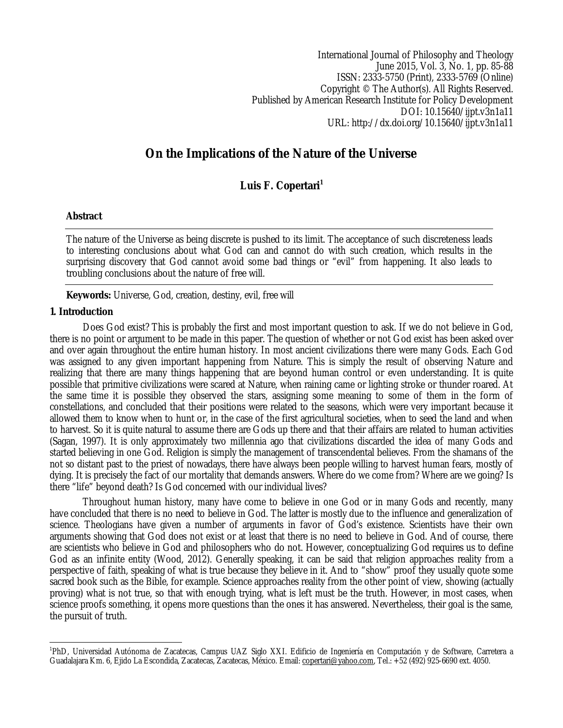International Journal of Philosophy and Theology June 2015, Vol. 3, No. 1, pp. 85-88 ISSN: 2333-5750 (Print), 2333-5769 (Online) Copyright © The Author(s). All Rights Reserved. Published by American Research Institute for Policy Development DOI: 10.15640/ijpt.v3n1a11 URL: http://dx.doi.org/10.15640/ijpt.v3n1a11

# **On the Implications of the Nature of the Universe**

# Luis F. Copertari<sup>1</sup>

## **Abstract**

The nature of the Universe as being discrete is pushed to its limit. The acceptance of such discreteness leads to interesting conclusions about what God can and cannot do with such creation, which results in the surprising discovery that God cannot avoid some bad things or "evil" from happening. It also leads to troubling conclusions about the nature of free will.

**Keywords:** Universe, God, creation, destiny, evil, free will

#### **1. Introduction**

Does God exist? This is probably the first and most important question to ask. If we do not believe in God, there is no point or argument to be made in this paper. The question of whether or not God exist has been asked over and over again throughout the entire human history. In most ancient civilizations there were many Gods. Each God was assigned to any given important happening from Nature. This is simply the result of observing Nature and realizing that there are many things happening that are beyond human control or even understanding. It is quite possible that primitive civilizations were scared at Nature, when raining came or lighting stroke or thunder roared. At the same time it is possible they observed the stars, assigning some meaning to some of them in the form of constellations, and concluded that their positions were related to the seasons, which were very important because it allowed them to know when to hunt or, in the case of the first agricultural societies, when to seed the land and when to harvest. So it is quite natural to assume there are Gods up there and that their affairs are related to human activities (Sagan, 1997). It is only approximately two millennia ago that civilizations discarded the idea of many Gods and started believing in one God. Religion is simply the management of transcendental believes. From the shamans of the not so distant past to the priest of nowadays, there have always been people willing to harvest human fears, mostly of dying. It is precisely the fact of our mortality that demands answers. Where do we come from? Where are we going? Is there "life" beyond death? Is God concerned with our individual lives?

Throughout human history, many have come to believe in one God or in many Gods and recently, many have concluded that there is no need to believe in God. The latter is mostly due to the influence and generalization of science. Theologians have given a number of arguments in favor of God's existence. Scientists have their own arguments showing that God does not exist or at least that there is no need to believe in God. And of course, there are scientists who believe in God and philosophers who do not. However, conceptualizing God requires us to define God as an infinite entity (Wood, 2012). Generally speaking, it can be said that religion approaches reality from a perspective of faith, speaking of what is true because they believe in it. And to "show" proof they usually quote some sacred book such as the Bible, for example. Science approaches reality from the other point of view, showing (actually proving) what is not true, so that with enough trying, what is left must be the truth. However, in most cases, when science proofs something, it opens more questions than the ones it has answered. Nevertheless, their goal is the same, the pursuit of truth.

 1 PhD, Universidad Autónoma de Zacatecas, Campus UAZ Siglo XXI. Edificio de Ingeniería en Computación y de Software, Carretera a Guadalajara Km. 6, Ejido La Escondida, Zacatecas, Zacatecas, México. Email: copertari@yahoo.com, Tel.: +52 (492) 925-6690 ext. 4050.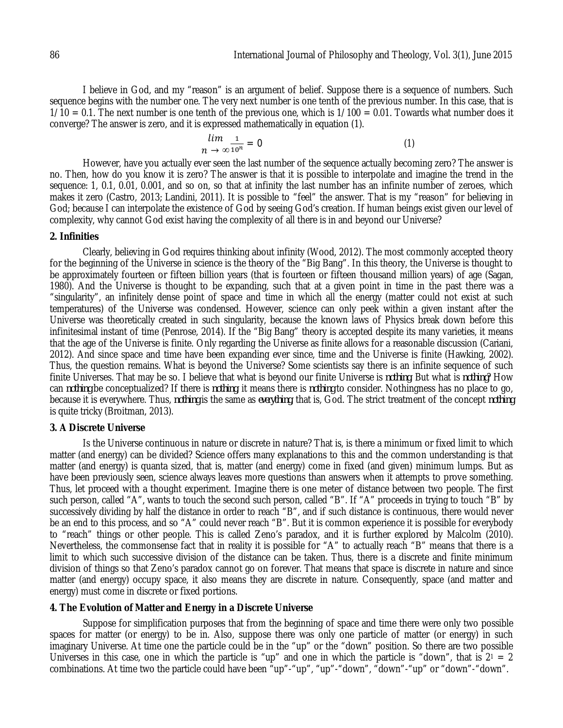I believe in God, and my "reason" is an argument of belief. Suppose there is a sequence of numbers. Such sequence begins with the number one. The very next number is one tenth of the previous number. In this case, that is  $1/10 = 0.1$ . The next number is one tenth of the previous one, which is  $1/100 = 0.01$ . Towards what number does it converge? The answer is zero, and it is expressed mathematically in equation (1).

$$
\lim_{n \to \infty} \frac{1}{10^n} = 0 \tag{1}
$$

However, have you actually ever seen the last number of the sequence actually becoming zero? The answer is no. Then, how do you know it is zero? The answer is that it is possible to interpolate and imagine the trend in the sequence: 1, 0.1, 0.01, 0.001, and so on, so that at infinity the last number has an infinite number of zeroes, which makes it zero (Castro, 2013; Landini, 2011). It is possible to "feel" the answer. That is my "reason" for believing in God; because I can interpolate the existence of God by seeing God's creation. If human beings exist given our level of complexity, why cannot God exist having the complexity of all there is in and beyond our Universe?

#### **2. Infinities**

Clearly, believing in God requires thinking about infinity (Wood, 2012). The most commonly accepted theory for the beginning of the Universe in science is the theory of the "Big Bang". In this theory, the Universe is thought to be approximately fourteen or fifteen billion years (that is fourteen or fifteen thousand million years) of age (Sagan, 1980). And the Universe is thought to be expanding, such that at a given point in time in the past there was a "singularity", an infinitely dense point of space and time in which all the energy (matter could not exist at such temperatures) of the Universe was condensed. However, science can only peek within a given instant after the Universe was theoretically created in such singularity, because the known laws of Physics break down before this infinitesimal instant of time (Penrose, 2014). If the "Big Bang" theory is accepted despite its many varieties, it means that the age of the Universe is finite. Only regarding the Universe as finite allows for a reasonable discussion (Cariani, 2012). And since space and time have been expanding ever since, time and the Universe is finite (Hawking, 2002). Thus, the question remains. What is beyond the Universe? Some scientists say there is an infinite sequence of such finite Universes. That may be so. I believe that what is beyond our finite Universe is *nothing*. But what is *nothing*? How can *nothing* be conceptualized? If there is *nothing*, it means there is *nothing* to consider. Nothingness has no place to go, because it is everywhere. Thus, *nothing* is the same as *everything*, that is, God. The strict treatment of the concept *nothing* is quite tricky (Broitman, 2013).

#### **3. A Discrete Universe**

Is the Universe continuous in nature or discrete in nature? That is, is there a minimum or fixed limit to which matter (and energy) can be divided? Science offers many explanations to this and the common understanding is that matter (and energy) is quanta sized, that is, matter (and energy) come in fixed (and given) minimum lumps. But as have been previously seen, science always leaves more questions than answers when it attempts to prove something. Thus, let proceed with a thought experiment. Imagine there is one meter of distance between two people. The first such person, called "A", wants to touch the second such person, called "B". If "A" proceeds in trying to touch "B" by successively dividing by half the distance in order to reach "B", and if such distance is continuous, there would never be an end to this process, and so "A" could never reach "B". But it is common experience it is possible for everybody to "reach" things or other people. This is called Zeno's paradox, and it is further explored by Malcolm (2010). Nevertheless, the commonsense fact that in reality it is possible for "A" to actually reach "B" means that there is a limit to which such successive division of the distance can be taken. Thus, there is a discrete and finite minimum division of things so that Zeno's paradox cannot go on forever. That means that space is discrete in nature and since matter (and energy) occupy space, it also means they are discrete in nature. Consequently, space (and matter and energy) must come in discrete or fixed portions.

#### **4. The Evolution of Matter and Energy in a Discrete Universe**

Suppose for simplification purposes that from the beginning of space and time there were only two possible spaces for matter (or energy) to be in. Also, suppose there was only one particle of matter (or energy) in such imaginary Universe. At time one the particle could be in the "up" or the "down" position. So there are two possible Universes in this case, one in which the particle is "up" and one in which the particle is "down", that is  $2<sup>1</sup> = 2$ combinations. At time two the particle could have been "up"-"up", "up"-"down", "down"-"up" or "down"-"down".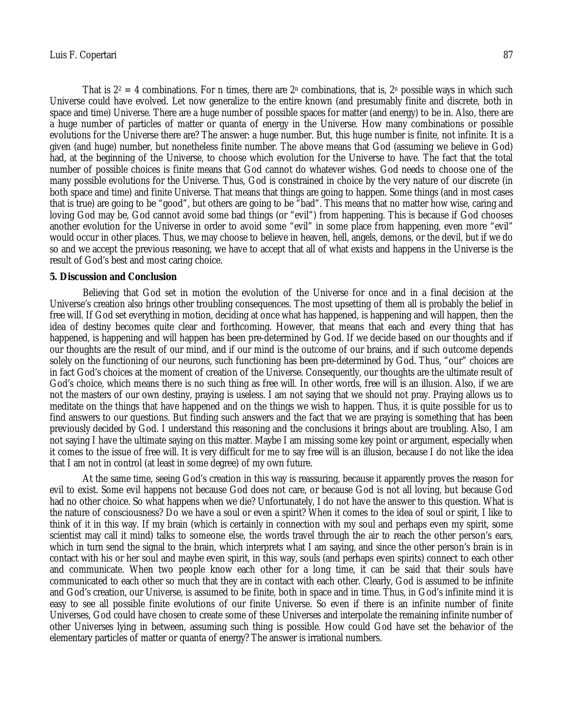That is  $2^2 = 4$  combinations. For n times, there are  $2^n$  combinations, that is,  $2^n$  possible ways in which such Universe could have evolved. Let now generalize to the entire known (and presumably finite and discrete, both in space and time) Universe. There are a huge number of possible spaces for matter (and energy) to be in. Also, there are a huge number of particles of matter or quanta of energy in the Universe. How many combinations or possible evolutions for the Universe there are? The answer: a huge number. But, this huge number is finite, not infinite. It is a given (and huge) number, but nonetheless finite number. The above means that God (assuming we believe in God) had, at the beginning of the Universe, to choose which evolution for the Universe to have. The fact that the total number of possible choices is finite means that God cannot do whatever wishes. God needs to choose one of the many possible evolutions for the Universe. Thus, God is constrained in choice by the very nature of our discrete (in both space and time) and finite Universe. That means that things are going to happen. Some things (and in most cases that is true) are going to be "good", but others are going to be "bad". This means that no matter how wise, caring and loving God may be, God cannot avoid some bad things (or "evil") from happening. This is because if God chooses another evolution for the Universe in order to avoid some "evil" in some place from happening, even more "evil" would occur in other places. Thus, we may choose to believe in heaven, hell, angels, demons, or the devil, but if we do so and we accept the previous reasoning, we have to accept that all of what exists and happens in the Universe is the result of God's best and most caring choice.

#### **5. Discussion and Conclusion**

Believing that God set in motion the evolution of the Universe for once and in a final decision at the Universe's creation also brings other troubling consequences. The most upsetting of them all is probably the belief in free will. If God set everything in motion, deciding at once what has happened, is happening and will happen, then the idea of destiny becomes quite clear and forthcoming. However, that means that each and every thing that has happened, is happening and will happen has been pre-determined by God. If we decide based on our thoughts and if our thoughts are the result of our mind, and if our mind is the outcome of our brains, and if such outcome depends solely on the functioning of our neurons, such functioning has been pre-determined by God. Thus, "our" choices are in fact God's choices at the moment of creation of the Universe. Consequently, our thoughts are the ultimate result of God's choice, which means there is no such thing as free will. In other words, free will is an illusion. Also, if we are not the masters of our own destiny, praying is useless. I am not saying that we should not pray. Praying allows us to meditate on the things that have happened and on the things we wish to happen. Thus, it is quite possible for us to find answers to our questions. But finding such answers and the fact that we are praying is something that has been previously decided by God. I understand this reasoning and the conclusions it brings about are troubling. Also, I am not saying I have the ultimate saying on this matter. Maybe I am missing some key point or argument, especially when it comes to the issue of free will. It is very difficult for me to say free will is an illusion, because I do not like the idea that I am not in control (at least in some degree) of my own future.

At the same time, seeing God's creation in this way is reassuring, because it apparently proves the reason for evil to exist. Some evil happens not because God does not care, or because God is not all loving, but because God had no other choice. So what happens when we die? Unfortunately, I do not have the answer to this question. What is the nature of consciousness? Do we have a soul or even a spirit? When it comes to the idea of soul or spirit, I like to think of it in this way. If my brain (which is certainly in connection with my soul and perhaps even my spirit, some scientist may call it mind) talks to someone else, the words travel through the air to reach the other person's ears, which in turn send the signal to the brain, which interprets what I am saying, and since the other person's brain is in contact with his or her soul and maybe even spirit, in this way, souls (and perhaps even spirits) connect to each other and communicate. When two people know each other for a long time, it can be said that their souls have communicated to each other so much that they are in contact with each other. Clearly, God is assumed to be infinite and God's creation, our Universe, is assumed to be finite, both in space and in time. Thus, in God's infinite mind it is easy to see all possible finite evolutions of our finite Universe. So even if there is an infinite number of finite Universes, God could have chosen to create some of these Universes and interpolate the remaining infinite number of other Universes lying in between, assuming such thing is possible. How could God have set the behavior of the elementary particles of matter or quanta of energy? The answer is irrational numbers.